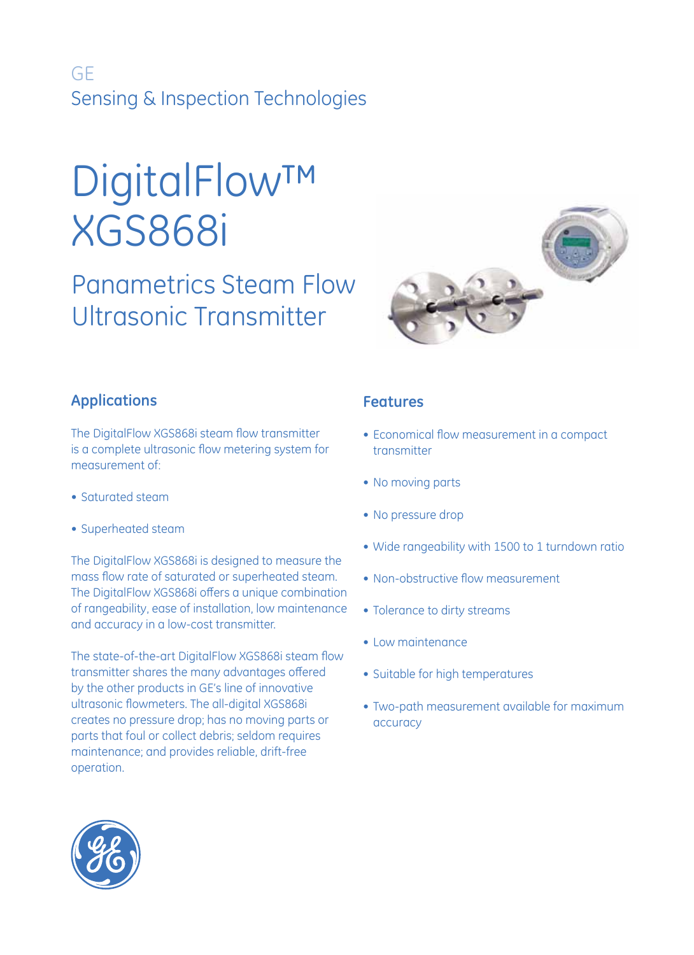# GE Sensing & Inspection Technologies

# DigitalFlow™ XGS868i

# Panametrics Steam Flow Ultrasonic Transmitter



# **Applications**

The DigitalFlow XGS868i steam flow transmitter is a complete ultrasonic flow metering system for measurement of:

- Saturated steam
- Superheated steam

The DigitalFlow XGS868i is designed to measure the mass flow rate of saturated or superheated steam. The DigitalFlow XGS868i offers a unique combination of rangeability, ease of installation, low maintenance and accuracy in a low-cost transmitter.

The state-of-the-art DigitalFlow XGS868i steam flow transmitter shares the many advantages offered by the other products in GE's line of innovative ultrasonic flowmeters. The all-digital XGS868i creates no pressure drop; has no moving parts or parts that foul or collect debris; seldom requires maintenance; and provides reliable, drift-free operation.

# **Features**

- Economical flow measurement in a compact transmitter
- No moving parts
- No pressure drop
- Wide rangeability with 1500 to 1 turndown ratio
- Non-obstructive flow measurement
- Tolerance to dirty streams
- Low maintenance
- Suitable for high temperatures
- Two-path measurement available for maximum accuracy

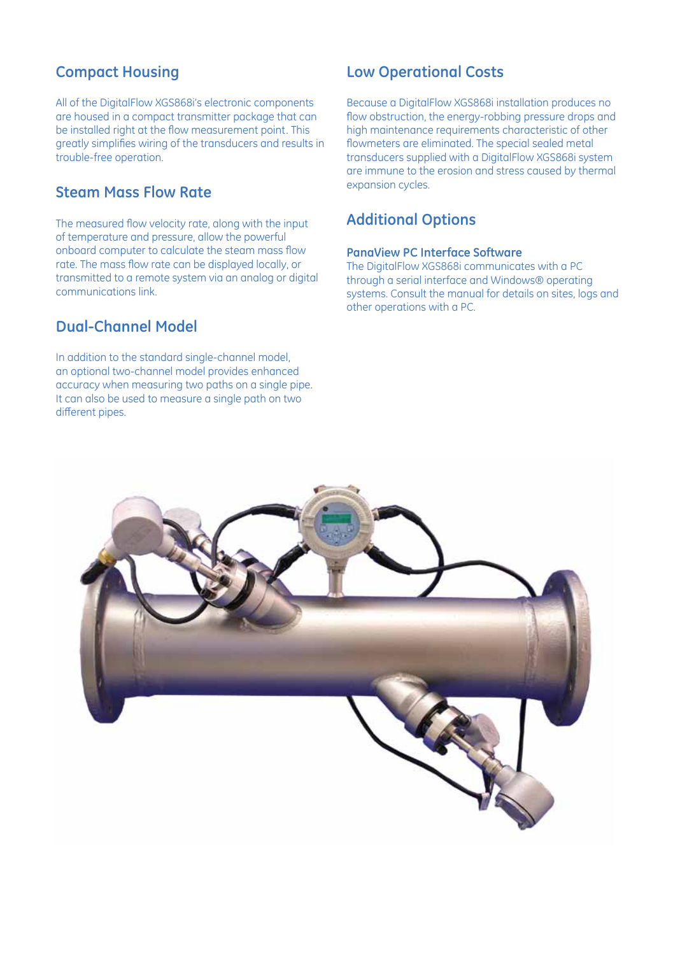# **Compact Housing**

All of the DigitalFlow XGS868i's electronic components are housed in a compact transmitter package that can be installed right at the flow measurement point. This greatly simplifies wiring of the transducers and results in trouble-free operation.

### **Steam Mass Flow Rate**

The measured flow velocity rate, along with the input of temperature and pressure, allow the powerful onboard computer to calculate the steam mass flow rate. The mass flow rate can be displayed locally, or transmitted to a remote system via an analog or digital communications link.

### **Dual-Channel Model**

In addition to the standard single-channel model, an optional two-channel model provides enhanced accuracy when measuring two paths on a single pipe. It can also be used to measure a single path on two different pipes.

# **Low Operational Costs**

Because a DigitalFlow XGS868i installation produces no flow obstruction, the energy-robbing pressure drops and high maintenance requirements characteristic of other flowmeters are eliminated. The special sealed metal transducers supplied with a DigitalFlow XGS868i system are immune to the erosion and stress caused by thermal expansion cycles.

## **Additional Options**

#### **PanaView PC Interface Software**

The DigitalFlow XGS868i communicates with a PC through a serial interface and Windows® operating systems. Consult the manual for details on sites, logs and other operations with a PC.

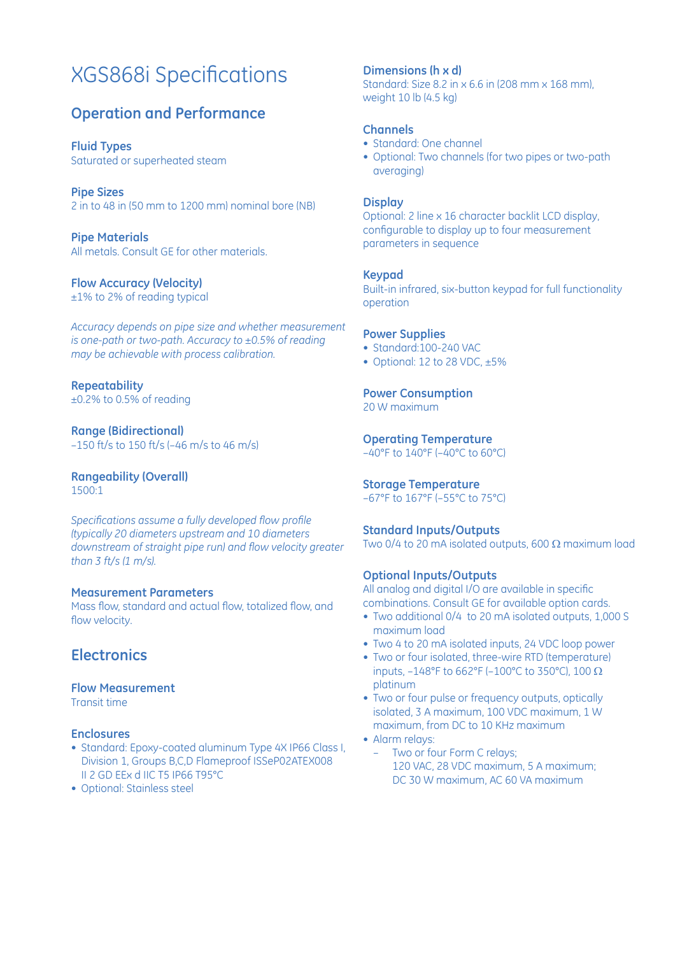# XGS868i Specifications

# **Operation and Performance**

**Fluid Types** Saturated or superheated steam

**Pipe Sizes** 2 in to 48 in (50 mm to 1200 mm) nominal bore (NB)

**Pipe Materials** All metals. Consult GE for other materials.

# **Flow Accuracy (Velocity)**

±1% to 2% of reading typical

*Accuracy depends on pipe size and whether measurement is one-path or two-path. Accuracy to ±0.5% of reading may be achievable with process calibration.*

**Repeatability** ±0.2% to 0.5% of reading

**Range (Bidirectional)** –150 ft/s to 150 ft/s (–46 m/s to 46 m/s)

**Rangeability (Overall)** 1500:1

*Specifications assume a fully developed flow profile (typically 20 diameters upstream and 10 diameters downstream of straight pipe run) and flow velocity greater than 3 ft/s (1 m/s).*

#### **Measurement Parameters**

Mass flow, standard and actual flow, totalized flow, and flow velocity.

# **Electronics**

**Flow Measurement**

Transit time

#### **Enclosures**

- Standard: Epoxy-coated aluminum Type 4X IP66 Class I, Division 1, Groups B,C,D Flameproof ISSeP02ATEX008 II 2 GD EEx d IIC T5 IP66 T95°C
- Optional: Stainless steel

#### **Dimensions (h x d)**

Standard: Size 8.2 in x 6.6 in (208 mm x 168 mm), weight 10 lb (4.5 kg)

#### **Channels**

- Standard: One channel
- Optional: Two channels (for two pipes or two-path averaging)

#### **Display**

Optional: 2 line x 16 character backlit LCD display, configurable to display up to four measurement parameters in sequence

#### **Keypad**

Built-in infrared, six-button keypad for full functionality operation

#### **Power Supplies**

- Standard:100-240 VAC
- Optional: 12 to 28 VDC, ±5%

#### **Power Consumption**

20 W maximum

#### **Operating Temperature**

–40°F to 140°F (–40°C to 60°C)

#### **Storage Temperature**

–67°F to 167°F (–55°C to 75°C)

#### **Standard Inputs/Outputs**

Two 0/4 to 20 mA isolated outputs, 600  $\Omega$  maximum load

#### **Optional Inputs/Outputs**

All analog and digital I/O are available in specific combinations. Consult GE for available option cards.

- Two additional 0/4 to 20 mA isolated outputs, 1,000 S maximum load
- Two 4 to 20 mA isolated inputs, 24 VDC loop power
- Two or four isolated, three-wire RTD (temperature) inputs, -148°F to 662°F (-100°C to 350°C), 100  $\Omega$ platinum
- Two or four pulse or frequency outputs, optically isolated, 3 A maximum, 100 VDC maximum, 1 W maximum, from DC to 10 KHz maximum
- Alarm relays:
	- Two or four Form C relays; 120 VAC, 28 VDC maximum, 5 A maximum; DC 30 W maximum, AC 60 VA maximum